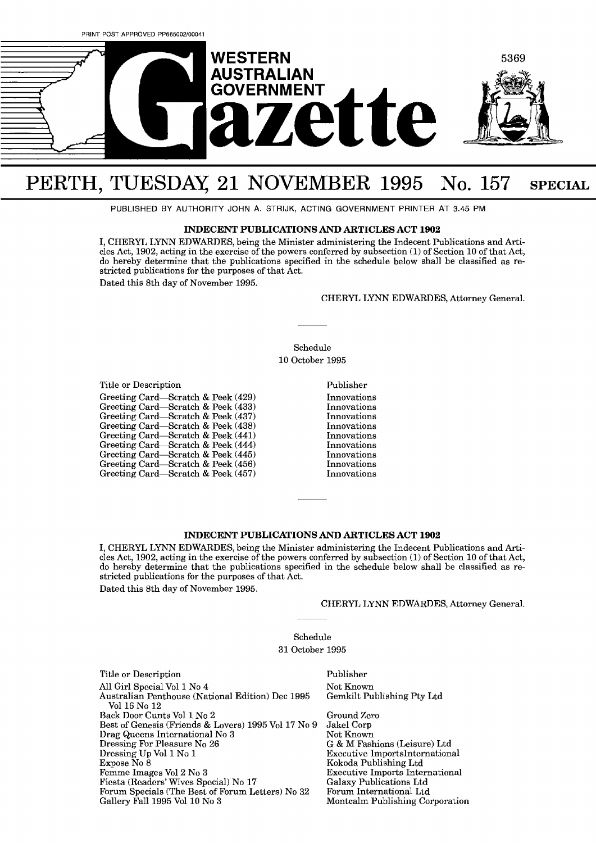

## PERTH, TUESDAY, 21 NOVEMBER 1995 No. 157 SPECIAL

PUBLISHED BY AUTHORITY JOHN A. STRIJK. ACTING GOVERNMENT PRINTER AT 3.45 PM

## **INDECENT PUBLICATIONS AND ARTICLES ACT 1902**

I, CHERYL LYNN EDWARDES, being the Minister administering the Indecent Publications and Articles Act, 1902, acting in the exercise of the powers conferred by subsection (1) of Section 10 of that Act, do hereby determine that the publications specified in the schedule below shall be classified as restricted publications for the purposes of that Act. Dated this 8th day of November 1995.

CHERYL LYNN EDWARDES, Attorney General.

Schedule 10 October 1995

Title or Description

Greeting Card-Scratch & Peek (429) Greeting Card-Scratch & Peek (433) Greeting Card-Scratch & Peek (437) Greeting Card-Scratch & Peek (438) Greeting Card-Scratch & Peek (441) Greeting Card-Scratch & Peek (444) Greeting Card-Scratch & Peek (445) Greeting Card-Scratch & Peek (456) Greeting Card-Scratch & Peek (457)

Publisher Innovations Innovations Innovations Innovations Innovations Innovations Innovations Innovations Innovations

## **INDECENT PUBLICATIONS AND ARTICLES ACT 1902**

I, CHERYL LYNN EDWARDES, being the Minister administering the Indecent Publications and Articles Act, 1902, acting in the exercise of the powers conferred by subsection (1) of Section 10 of that Act, do hereby determine that the publications specified in the schedule below shall be classified as restricted publications for the purposes of that Act.

Dated this 8th day of November 1995.

CHERYL LYNN EDWARDES, Attorney General.

## Schedule

31 October 1995

| Title or Description                                             | Publisher                              |
|------------------------------------------------------------------|----------------------------------------|
| All Girl Special Vol 1 No 4                                      | Not Known                              |
| Australian Penthouse (National Edition) Dec 1995<br>Vol 16 No 12 | Gemkilt Publishing Pty Ltd             |
| Back Door Cunts Vol 1 No 2                                       | Ground Zero                            |
| Best of Genesis (Friends & Lovers) 1995 Vol 17 No 9              | Jakel Corp                             |
| Drag Queens International No 3                                   | Not Known                              |
| Dressing For Pleasure No 26                                      | G & M Fashions (Leisure) Ltd           |
| Dressing Up Vol 1 No 1                                           | <b>Executive ImportsInternational</b>  |
| Expose No 8                                                      | Kokoda Publishing Ltd                  |
| Femme Images Vol 2 No 3                                          | <b>Executive Imports International</b> |
| Fiesta (Readers' Wives Special) No 17                            | Galaxy Publications Ltd                |
| Forum Specials (The Best of Forum Letters) No 32                 | Forum International Ltd                |
| Gallery Fall 1995 Vol 10 No 3                                    | Montcalm Publishing Corporation        |